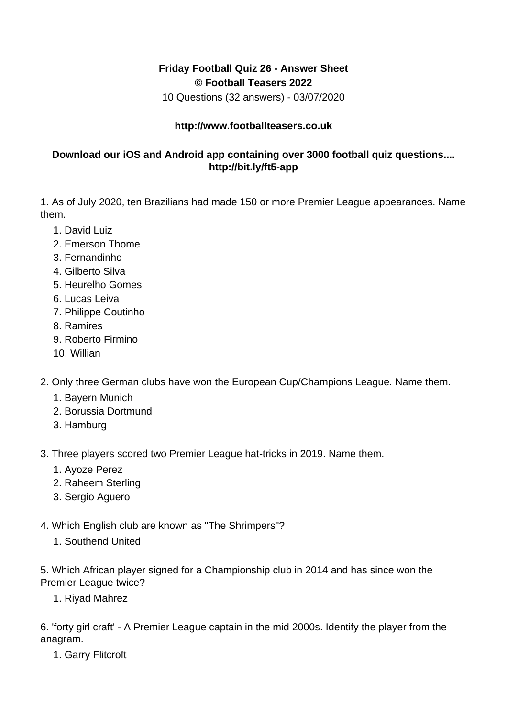## **Friday Football Quiz 26 - Answer Sheet © Football Teasers 2022**

10 Questions (32 answers) - 03/07/2020

## **http://www.footballteasers.co.uk**

## **Download our iOS and Android app containing over 3000 football quiz questions.... http://bit.ly/ft5-app**

1. As of July 2020, ten Brazilians had made 150 or more Premier League appearances. Name them.

- 1. David Luiz
- 2. Emerson Thome
- 3. Fernandinho
- 4. Gilberto Silva
- 5. Heurelho Gomes
- 6. Lucas Leiva
- 7. Philippe Coutinho
- 8. Ramires
- 9. Roberto Firmino
- 10. Willian
- 2. Only three German clubs have won the European Cup/Champions League. Name them.
	- 1. Bayern Munich
	- 2. Borussia Dortmund
	- 3. Hamburg
- 3. Three players scored two Premier League hat-tricks in 2019. Name them.
	- 1. Ayoze Perez
	- 2. Raheem Sterling
	- 3. Sergio Aguero
- 4. Which English club are known as "The Shrimpers"?
	- 1. Southend United

5. Which African player signed for a Championship club in 2014 and has since won the Premier League twice?

1. Riyad Mahrez

6. 'forty girl craft' - A Premier League captain in the mid 2000s. Identify the player from the anagram.

1. Garry Flitcroft